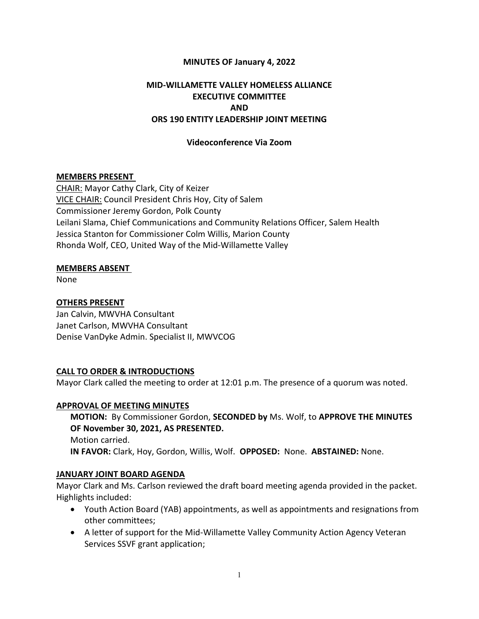### MINUTES OF January 4, 2022

## MID-WILLAMETTE VALLEY HOMELESS ALLIANCE EXECUTIVE COMMITTEE AND ORS 190 ENTITY LEADERSHIP JOINT MEETING

### Videoconference Via Zoom

#### MEMBERS PRESENT

CHAIR: Mayor Cathy Clark, City of Keizer VICE CHAIR: Council President Chris Hoy, City of Salem Commissioner Jeremy Gordon, Polk County Leilani Slama, Chief Communications and Community Relations Officer, Salem Health Jessica Stanton for Commissioner Colm Willis, Marion County Rhonda Wolf, CEO, United Way of the Mid-Willamette Valley

#### MEMBERS ABSENT

None

### OTHERS PRESENT

Jan Calvin, MWVHA Consultant Janet Carlson, MWVHA Consultant Denise VanDyke Admin. Specialist II, MWVCOG

### CALL TO ORDER & INTRODUCTIONS

Mayor Clark called the meeting to order at 12:01 p.m. The presence of a quorum was noted.

#### APPROVAL OF MEETING MINUTES

MOTION: By Commissioner Gordon, SECONDED by Ms. Wolf, to APPROVE THE MINUTES OF November 30, 2021, AS PRESENTED. Motion carried. IN FAVOR: Clark, Hoy, Gordon, Willis, Wolf. OPPOSED: None. ABSTAINED: None.

#### JANUARY JOINT BOARD AGENDA

Mayor Clark and Ms. Carlson reviewed the draft board meeting agenda provided in the packet. Highlights included:

- Youth Action Board (YAB) appointments, as well as appointments and resignations from other committees;
- A letter of support for the Mid-Willamette Valley Community Action Agency Veteran Services SSVF grant application;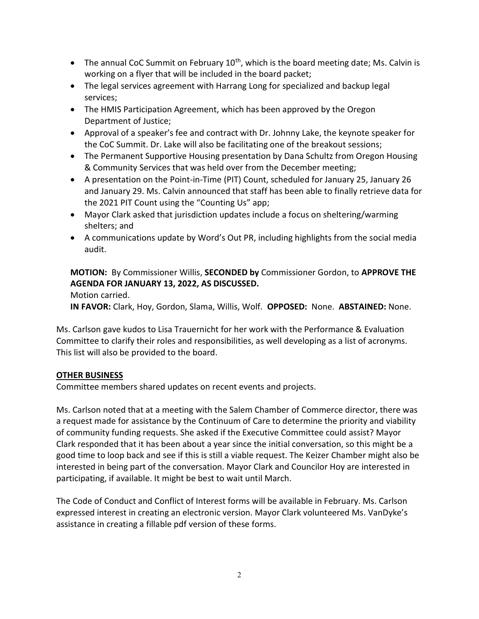- The annual CoC Summit on February  $10^{th}$ , which is the board meeting date; Ms. Calvin is working on a flyer that will be included in the board packet;
- The legal services agreement with Harrang Long for specialized and backup legal services;
- The HMIS Participation Agreement, which has been approved by the Oregon Department of Justice;
- Approval of a speaker's fee and contract with Dr. Johnny Lake, the keynote speaker for the CoC Summit. Dr. Lake will also be facilitating one of the breakout sessions;
- The Permanent Supportive Housing presentation by Dana Schultz from Oregon Housing & Community Services that was held over from the December meeting;
- A presentation on the Point-in-Time (PIT) Count, scheduled for January 25, January 26 and January 29. Ms. Calvin announced that staff has been able to finally retrieve data for the 2021 PIT Count using the "Counting Us" app;
- Mayor Clark asked that jurisdiction updates include a focus on sheltering/warming shelters; and
- A communications update by Word's Out PR, including highlights from the social media audit.

MOTION: By Commissioner Willis, SECONDED by Commissioner Gordon, to APPROVE THE AGENDA FOR JANUARY 13, 2022, AS DISCUSSED.

## Motion carried.

IN FAVOR: Clark, Hoy, Gordon, Slama, Willis, Wolf. OPPOSED: None. ABSTAINED: None.

Ms. Carlson gave kudos to Lisa Trauernicht for her work with the Performance & Evaluation Committee to clarify their roles and responsibilities, as well developing as a list of acronyms. This list will also be provided to the board.

## OTHER BUSINESS

Committee members shared updates on recent events and projects.

Ms. Carlson noted that at a meeting with the Salem Chamber of Commerce director, there was a request made for assistance by the Continuum of Care to determine the priority and viability of community funding requests. She asked if the Executive Committee could assist? Mayor Clark responded that it has been about a year since the initial conversation, so this might be a good time to loop back and see if this is still a viable request. The Keizer Chamber might also be interested in being part of the conversation. Mayor Clark and Councilor Hoy are interested in participating, if available. It might be best to wait until March.

The Code of Conduct and Conflict of Interest forms will be available in February. Ms. Carlson expressed interest in creating an electronic version. Mayor Clark volunteered Ms. VanDyke's assistance in creating a fillable pdf version of these forms.